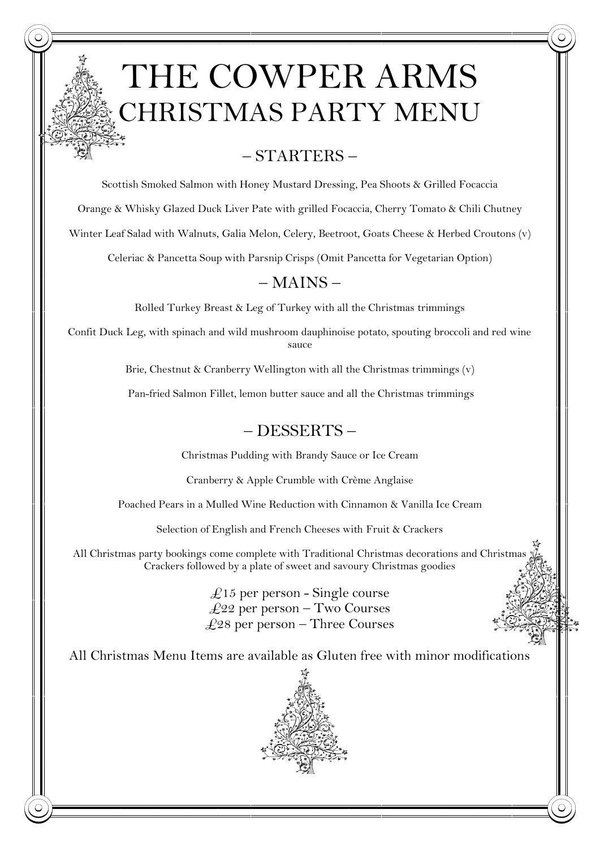# THE COWPER ARMS CHRISTMAS PARTY MENU

### – STARTERS –

Scottish Smoked Salmon with Honey Mustard Dressing, Pea Shoots & Grilled Focaccia

Orange & Whisky Glazed Duck Liver Pate with grilled Focaccia, Cherry Tomato & Chili Chutney

Winter Leaf Salad with Walnuts, Galia Melon, Celery, Beetroot, Goats Cheese & Herbed Croutons (v)

Celeriac & Pancetta Soup with Parsnip Crisps (Omit Pancetta for Vegetarian Option)

#### – MAINS –

Rolled Turkey Breast & Leg of Turkey with all the Christmas trimmings

Confit Duck Leg, with spinach and wild mushroom dauphinoise potato, spouting broccoli and red wine sauce

Brie, Chestnut & Cranberry Wellington with all the Christmas trimmings (v)

Pan-fried Salmon Fillet, lemon butter sauce and all the Christmas trimmings

#### – DESSERTS –

Christmas Pudding with Brandy Sauce or Ice Cream

Cranberry & Apple Crumble with Crème Anglaise

Poached Pears in a Mulled Wine Reduction with Cinnamon & Vanilla Ice Cream

Selection of English and French Cheeses with Fruit & Crackers

All Christmas party bookings come complete with Traditional Christmas decorations and Christmas Crackers followed by a plate of sweet and savoury Christmas goodies

> $£15$  per person - Single course  $\pounds$ 22 per person – Two Courses  $\pounds$ 28 per person – Three Courses

All Christmas Menu Items are available as Gluten free with minor modifications